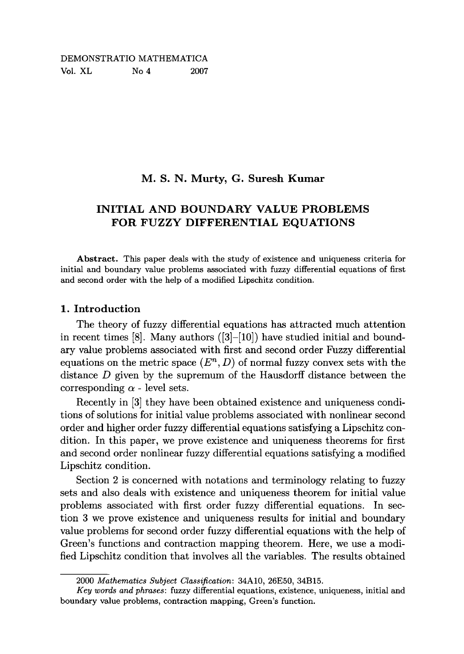# DEMONSTRATIO MATHEMATICA Vol. XL No 4 2007

# **M. S. N. Murty, G. Suresh Kumar**

# **INITIAL AND BOUNDARY VALUE PROBLEMS FOR FUZZY DIFFERENTIAL EQUATIONS**

**Abstract.** This paper deals with the study of existence and uniqueness criteria for initial and boundary value problems associated with fuzzy differential equations of first and second order with the help of a modified Lipschitz condition.

### **1. Introduction**

The theory of fuzzy differential equations has attracted much attention in recent times [8]. Many authors  $([3]-[10])$  have studied initial and boundary value problems associated with first and second order Fuzzy differential equations on the metric space  $(E<sup>n</sup>, D)$  of normal fuzzy convex sets with the distance *D* given by the supremum of the Hausdorff distance between the corresponding  $\alpha$  - level sets.

Recently in [3] they have been obtained existence and uniqueness conditions of solutions for initial value problems associated with nonlinear second order and higher order fuzzy differential equations satisfying a Lipschitz condition. In this paper, we prove existence and uniqueness theorems for first and second order nonlinear fuzzy differential equations satisfying a modified Lipschitz condition.

Section 2 is concerned with notations and terminology relating to fuzzy sets and also deals with existence and uniqueness theorem for initial value problems associated with first order fuzzy differential equations. In section 3 we prove existence and uniqueness results for initial and boundary value problems for second order fuzzy differential equations with the help of Green's functions and contraction mapping theorem. Here, we use a modified Lipschitz condition that involves all the variables. The results obtained

<sup>2000</sup> *Mathematics Subject Classification:* 34A10, 26E50, 34B15.

*Key words and phrases:* fuzzy differential equations, existence, uniqueness, initial and boundary value problems, contraction mapping, Green's function.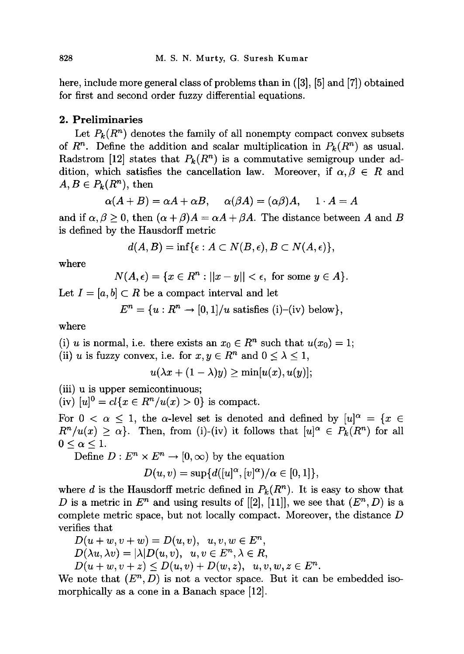here, include more general class of problems than in ([3], [5] and [7]) obtained for first and second order fuzzy differential equations.

#### **2. Preliminaries**

Let  $P_k(R^n)$  denotes the family of all nonempty compact convex subsets of  $R^n$ . Define the addition and scalar multiplication in  $P_k(R^n)$  as usual. Radstrom [12] states that  $P_k(R^n)$  is a commutative semigroup under addition, which satisfies the cancellation law. Moreover, if  $\alpha, \beta \in R$  and  $A, B \in P_k(R^n)$ , then

$$
\alpha(A + B) = \alpha A + \alpha B, \quad \alpha(\beta A) = (\alpha \beta)A, \quad 1 \cdot A = A
$$

and if  $\alpha, \beta \geq 0$ , then  $(\alpha + \beta)A = \alpha A + \beta A$ . The distance between A and B is defined by the Hausdorff metric

$$
d(A, B) = \inf \{ \epsilon : A \subset N(B, \epsilon), B \subset N(A, \epsilon) \},
$$

where

$$
N(A,\epsilon)=\{x\in R^n: ||x-y||<\epsilon, \text{ for some } y\in A\}.
$$

Let  $I = [a, b] \subset R$  be a compact interval and let

$$
E^n = \{u : R^n \to [0,1]/u \text{ satisfies (i)–(iv) below}\},\
$$

where

(i) *u* is normal, i.e. there exists an  $x_0 \in R^n$  such that  $u(x_0) = 1$ ;

(ii) u is fuzzy convex, i.e. for  $x, y \in R^n$  and  $0 \le \lambda \le 1$ ,

$$
u(\lambda x + (1 - \lambda)y) \geq \min[u(x), u(y)];
$$

(iv)  $[u]^0 = cl\{x \in R^n / u(x) > 0\}$  is compact.

For  $0 < \alpha \leq 1$ , the  $\alpha$ -level set is denoted and defined by  $[u]^{\alpha} = \{x \in$  $R^{n}/u(x) \ge \alpha$ . Then, from (i)-(iv) it follows that  $[u]^{\alpha} \in P_{k}(R^{n})$  for all  $0 \leq \alpha \leq 1$ .

Define  $D: E^n \times E^n \to [0, \infty)$  by the equation

$$
D(u, v) = \sup \{d([u]^\alpha, [v]^\alpha)/\alpha \in [0, 1]\},\
$$

where *d* is the Hausdorff metric defined in  $P_k(R^n)$ . It is easy to show that *D* is a metric in  $E^n$  and using results of  $[2]$ ,  $[11]$ , we see that  $(E^n, D)$  is a complete metric space, but not locally compact. Moreover, the distance *D*  verifies that

$$
D(u+w, v+w) = D(u, v), u, v, w \in En,
$$
  
\n
$$
D(\lambda u, \lambda v) = |\lambda| D(u, v), u, v \in En, \lambda \in R,
$$
  
\n
$$
D(u+w, v+z) \le D(u, v) + D(w, z), u, v, w, z \in En.
$$

We note that  $(E^n, D)$  is not a vector space. But it can be embedded isomorphically as a cone in a Banach space [12].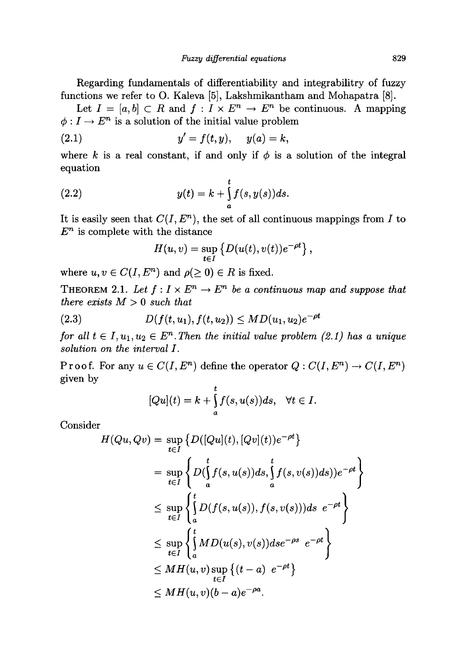Regarding fundamentals of differentiability and integrabilitry of fuzzy functions we refer to O. Kaleva [5], Lakshmikantham and Mohapatra [8].

Let  $I = [a, b] \subset R$  and  $f: I \times E^n \to E^n$  be continuous. A mapping  $\phi: I \to E^n$  is a solution of the initial value problem

(2.1) 
$$
y' = f(t, y), \quad y(a) = k,
$$

where k is a real constant, if and only if  $\phi$  is a solution of the integral equation

(2.2) 
$$
y(t) = k + \int_{a}^{t} f(s, y(s))ds.
$$

It is easily seen that  $C(I, E<sup>n</sup>)$ , the set of all continuous mappings from *I* to  $E^n$  is complete with the distance

$$
H(u,v)=\sup_{t\in I}\left\{D(u(t),v(t))e^{-\rho t}\right\},\,
$$

where  $u, v \in C(I, E^n)$  and  $\rho(\geq 0) \in R$  is fixed.

**THEOREM** 2.1. Let  $f: I \times E^n \to E^n$  be a continuous map and suppose that *there exists M >* 0 *such that* 

(2.3) 
$$
D(f(t, u_1), f(t, u_2)) \leq MD(u_1, u_2)e^{-\rho t}
$$

*for all*  $t \in I, u_1, u_2 \in E^n$ . Then the initial value problem (2.1) has a unique *solution on the interval I.* 

Proof. For any  $u \in C(I, E^n)$  define the operator  $Q: C(I, E^n) \to C(I, E^n)$ given by

$$
[Qu](t) = k + \int_a^t f(s, u(s))ds, \quad \forall t \in I.
$$

Consider

$$
H(Qu, Qv) = \sup_{t \in I} \left\{ D([Qu](t), [Qv](t))e^{-\rho t} \right\}
$$
  
\n
$$
= \sup_{t \in I} \left\{ D(\int_a^t f(s, u(s))ds, \int_a^t f(s, v(s))ds) \right\}e^{-\rho t} \right\}
$$
  
\n
$$
\leq \sup_{t \in I} \left\{ \int_a^t D(f(s, u(s)), f(s, v(s)))ds \ e^{-\rho t} \right\}
$$
  
\n
$$
\leq \sup_{t \in I} \left\{ \int_a^t M D(u(s), v(s))ds e^{-\rho s} e^{-\rho t} \right\}
$$
  
\n
$$
\leq MH(u, v) \sup_{t \in I} \left\{ (t - a) e^{-\rho t} \right\}
$$
  
\n
$$
\leq MH(u, v)(b - a)e^{-\rho a}.
$$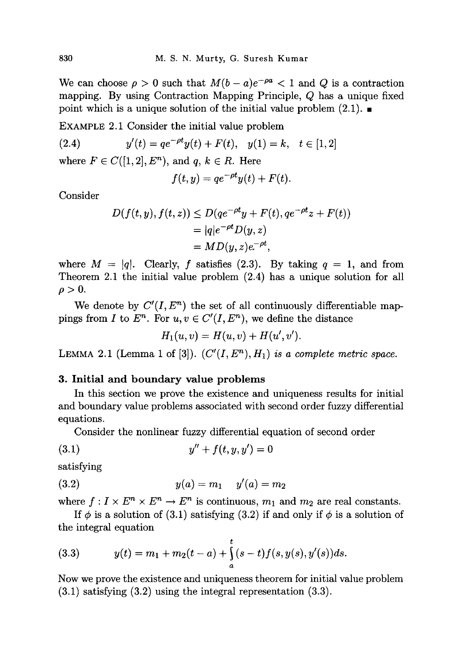We can choose  $\rho > 0$  such that  $M(b-a)e^{-\rho a} < 1$  and Q is a contraction mapping. By using Contraction Mapping Principle, *Q* has a unique fixed point which is a unique solution of the initial value problem  $(2.1)$ .

EXAMPLE 2.1 Consider the initial value problem

(2.4) 
$$
y'(t) = q e^{-\rho t} y(t) + F(t), \quad y(1) = k, \quad t \in [1, 2]
$$

where  $F \in C([1,2], E<sup>n</sup>)$ , and  $q, k \in R$ . Here

$$
f(t,y) = qe^{-\rho t}y(t) + F(t).
$$

Consider

$$
D(f(t, y), f(t, z)) \le D(qe^{-\rho t}y + F(t), qe^{-\rho t}z + F(t))
$$
  
=  $|q|e^{-\rho t}D(y, z)$   
=  $MD(y, z)e^{-\rho t}$ ,

where  $M = |q|$ . Clearly, f satisfies (2.3). By taking  $q = 1$ , and from Theorem 2.1 the initial value problem (2.4) has a unique solution for all  $\rho > 0$ .

We denote by  $C'(I, E^n)$  the set of all continuously differentiable mappings from *I* to  $E^n$ . For  $u, v \in C'(I, E^n)$ , we define the distance

$$
H_1(u, v) = H(u, v) + H(u', v').
$$

LEMMA 2.1 (Lemma 1 of [3]).  $(C'(I, E^n), H_1)$  is a complete metric space.

#### **3. Initial and boundary value problems**

In this section we prove the existence and uniqueness results for initial and boundary value problems associated with second order fuzzy differential equations.

Consider the nonlinear fuzzy differential equation of second order

$$
(3.1) \t\t y'' + f(t, y, y') = 0
$$

satisfying

(3.2) 
$$
y(a) = m_1 \quad y'(a) = m_2
$$

where  $f: I \times E^n \times E^n \to E^n$  is continuous,  $m_1$  and  $m_2$  are real constants.

If  $\phi$  is a solution of (3.1) satisfying (3.2) if and only if  $\phi$  is a solution of the integral equation

(3.3) 
$$
y(t) = m_1 + m_2(t-a) + \int_a^t (s-t)f(s,y(s),y'(s))ds.
$$

Now we prove the existence and uniqueness theorem for initial value problem (3.1) satisfying (3.2) using the integral representation (3.3).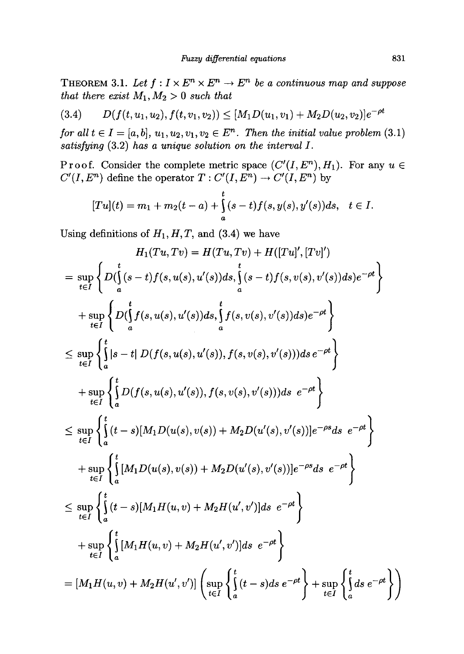**THEOREM 3.1.** Let  $f: I \times E^n \times E^n \to E^n$  be a continuous map and suppose *that there exist*  $M_1, M_2 > 0$  *such that* 

$$
(3.4) \qquad D(f(t, u_1, u_2), f(t, v_1, v_2)) \leq [M_1 D(u_1, v_1) + M_2 D(u_2, v_2)]e^{-\rho t}
$$

*for all*  $t \in I = [a, b], u_1, u_2, v_1, v_2 \in E^n$ *. Then the initial value problem* (3.1) *satisfying* **(3.2)** *has a unique solution on the interval I.* 

**Proof.** Consider the complete metric space  $(C'(I, E^n), H_1)$ . For any  $u \in$  $C'(I, E^n)$  define the operator  $T: C'(I, E^n) \to C'(I, E^n)$  by

$$
[Tu](t) = m_1 + m_2(t-a) + \int_a^t (s-t)f(s,y(s),y'(s))ds, \quad t \in I.
$$

Using definitions of  $H_1, H, T$ , and  $(3.4)$  we have

$$
H_1(Tu, Tv) = H(Tu, Tv) + H([Tu]', [Tv]')
$$
  
\n
$$
= \sup_{t \in I} \left\{ D(\int_a^t (s-t)f(s, u(s), u'(s))ds, \int_a^t (s-t)f(s, v(s), v'(s))ds)e^{-\rho t} \right\}
$$
  
\n
$$
+ \sup_{t \in I} \left\{ D(\int_a^t f(s, u(s), u'(s))ds, \int_a^t f(s, v(s), v'(s))ds)e^{-\rho t} \right\}
$$
  
\n
$$
\leq \sup_{t \in I} \left\{ \int_a^t |s-t| D(f(s, u(s), u'(s)), f(s, v(s), v'(s)))ds e^{-\rho t} \right\}
$$
  
\n
$$
+ \sup_{t \in I} \left\{ \int_a^t D(f(s, u(s), u'(s)), f(s, v(s), v'(s)))ds e^{-\rho t} \right\}
$$
  
\n
$$
\leq \sup_{t \in I} \left\{ \int_a^t (t-s)[M_1D(u(s), v(s)) + M_2D(u'(s), v'(s))]e^{-\rho s}ds e^{-\rho t} \right\}
$$
  
\n
$$
+ \sup_{t \in I} \left\{ \int_a^t [M_1D(u(s), v(s)) + M_2D(u'(s), v'(s))]e^{-\rho s}ds e^{-\rho t} \right\}
$$
  
\n
$$
\leq \sup_{t \in I} \left\{ \int_a^t (t-s)[M_1H(u, v) + M_2H(u', v')]ds e^{-\rho t} \right\}
$$
  
\n
$$
+ \sup_{t \in I} \left\{ \int_a^t [M_1H(u, v) + M_2H(u', v')]ds e^{-\rho t} \right\}
$$
  
\n
$$
= [M_1H(u, v) + M_2H(u', v')] \left( \sup_{t \in I} \left\{ \int_a^t (t-s)ds e^{-\rho t} \right\} + \sup_{t \in I} \left\{ \int_a^t ds e^{-\rho t} \right\} \right)
$$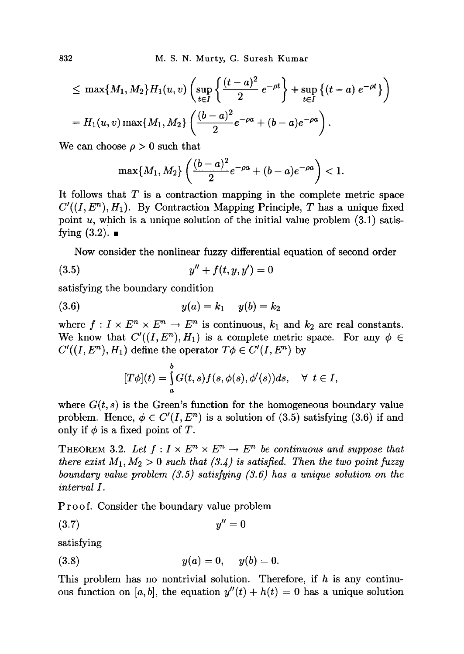$$
\leq \max\{M_1, M_2\} H_1(u, v) \left( \sup_{t \in I} \left\{ \frac{(t-a)^2}{2} e^{-\rho t} \right\} + \sup_{t \in I} \left\{ (t-a) e^{-\rho t} \right\} \right)
$$
  
=  $H_1(u, v) \max\{M_1, M_2\} \left( \frac{(b-a)^2}{2} e^{-\rho a} + (b-a) e^{-\rho a} \right).$ 

We can choose  $\rho > 0$  such that

$$
\max\{M_1,M_2\}\left(\frac{(b-a)^2}{2}e^{-\rho a}+(b-a)e^{-\rho a}\right)<1.
$$

It follows that *T* is a contraction mapping in the complete metric space  $C'((I, E^n), H_1)$ . By Contraction Mapping Principle, *T* has a unique fixed point  $u$ , which is a unique solution of the initial value problem  $(3.1)$  satisfying  $(3.2)$ .

Now consider the nonlinear fuzzy differential equation of second order

$$
(3.5) \t\t y'' + f(t, y, y') = 0
$$

satisfying the boundary condition

$$
(3.6) \t\t y(a) = k_1 \t y(b) = k_2
$$

where  $f: I \times E^n \times E^n \to E^n$  is continuous,  $k_1$  and  $k_2$  are real constants. We know that  $C'((I, E^n), H_1)$  is a complete metric space. For any  $\phi \in$  $C'((I, E^n), H_1)$  define the operator  $T\phi \in C'(I, E^n)$  by

$$
[T\phi](t)=\int\limits_a^b G(t,s)f(s,\phi(s),\phi'(s))ds,\quad \forall\ \ t\in I,
$$

where  $G(t, s)$  is the Green's function for the homogeneous boundary value problem. Hence,  $\phi \in C'(I, E^n)$  is a solution of (3.5) satisfying (3.6) if and only if  $\phi$  is a fixed point of  $T$ .

THEOREM 3.2. Let  $f: I \times E^n \times E^n \to E^n$  be continuous and suppose that *there exist*  $M_1, M_2 > 0$  *such that (3.4) is satisfied. Then the two point fuzzy boundary value problem (3.5) satisfying (3.6) has a unique solution on the interval I.* 

Proof. Consider the boundary value problem

$$
(3.7) \t\t y'' = 0
$$

satisfying

(3.8) 
$$
y(a) = 0, y(b) = 0.
$$

This problem has no nontrivial solution. Therefore, if *h* is any continuous function on [a, b], the equation  $y''(t) + h(t) = 0$  has a unique solution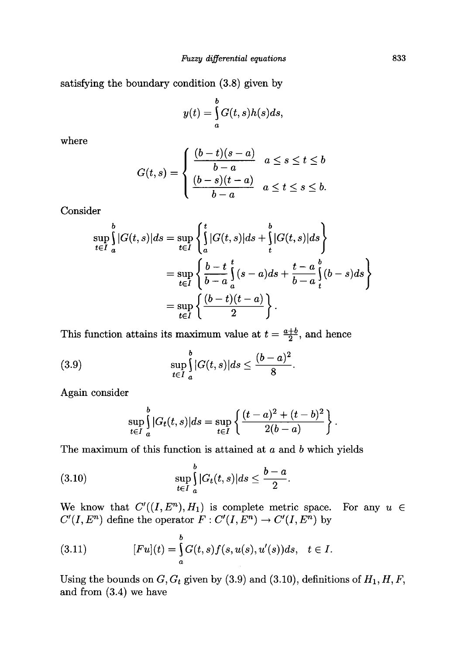satisfying the boundary condition (3.8) given by

$$
y(t) = \int_{a}^{b} G(t,s)h(s)ds,
$$

where

$$
G(t,s) = \begin{cases} \frac{(b-t)(s-a)}{b-a} & a \leq s \leq t \leq b \\ \frac{(b-s)(t-a)}{b-a} & a \leq t \leq s \leq b. \end{cases}
$$

Consider

$$
\sup_{t \in I} \int_{a}^{b} |G(t,s)| ds = \sup_{t \in I} \left\{ \int_{a}^{t} |G(t,s)| ds + \int_{t}^{b} |G(t,s)| ds \right\}
$$
  

$$
= \sup_{t \in I} \left\{ \frac{b-t}{b-a} \int_{a}^{t} (s-a) ds + \frac{t-a}{b-a} \int_{t}^{b} (b-s) ds \right\}
$$
  

$$
= \sup_{t \in I} \left\{ \frac{(b-t)(t-a)}{2} \right\}.
$$

This function attains its maximum value at  $t = \frac{a+b}{2}$ , and hence

(3.9) 
$$
\sup_{t \in I} \int_{a}^{b} |G(t,s)| ds \leq \frac{(b-a)^2}{8}
$$

Again consider

$$
\sup_{t \in I} \int_{a}^{b} |G_t(t,s)| ds = \sup_{t \in I} \left\{ \frac{(t-a)^2 + (t-b)^2}{2(b-a)} \right\}.
$$

The maximum of this function is attained at *a* and *b* which yields

$$
\sup_{t\in I}\int\limits_{a}^{b}|G_t(t,s)|ds\leq \frac{b-a}{2}.
$$

We know that  $C'((I, E^n), H_1)$  is complete metric space. For any  $u \in$  $C'(I, E^n)$  define the operator  $F: C'(I, E^n) \to C'(I, E^n)$  by

(3.11) 
$$
[Fu](t) = \int_{a}^{b} G(t,s)f(s,u(s),u'(s))ds, \quad t \in I.
$$

Using the bounds on  $G, G_t$  given by  $(3.9)$  and  $(3.10)$ , definitions of  $H_1, H, F$ , and from (3.4) we have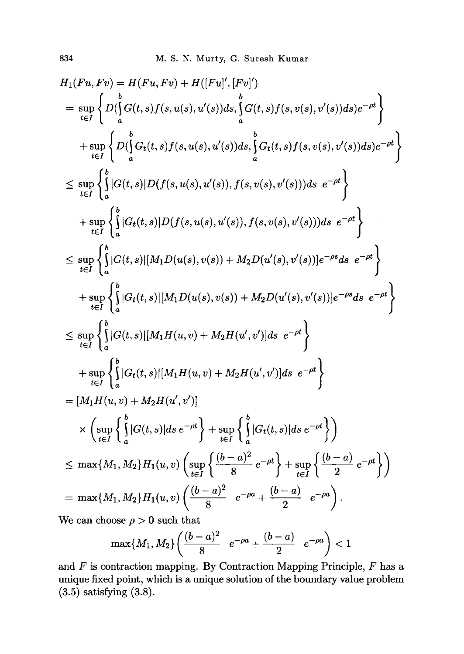$$
H_{1}(Fu, Fv) = H(Fu, Fv) + H([Fu]', [Fv]')
$$
\n
$$
= \sup_{t \in I} \left\{ D(\int_{a}^{b} G(t, s) f(s, u(s), u'(s)) ds, \int_{a}^{b} G(t, s) f(s, v(s), v'(s)) ds) e^{-\rho t} \right\}
$$
\n
$$
+ \sup_{t \in I} \left\{ D(\int_{a}^{b} G_t(t, s) f(s, u(s), u'(s)) ds, \int_{a}^{b} G_t(t, s) f(s, v(s), v'(s)) ds) e^{-\rho t} \right\}
$$
\n
$$
\leq \sup_{t \in I} \left\{ \int_{a}^{b} |G(t, s)| D(f(s, u(s), u'(s)), f(s, v(s), v'(s))) ds e^{-\rho t} \right\}
$$
\n
$$
+ \sup_{t \in I} \left\{ \int_{a}^{b} |G_t(t, s)| D(f(s, u(s), u'(s)), f(s, v(s), v'(s))) ds e^{-\rho t} \right\}
$$
\n
$$
\leq \sup_{t \in I} \left\{ \int_{a}^{b} |G(t, s)| [M_1 D(u(s), v(s)) + M_2 D(u'(s), v'(s))] e^{-\rho s} ds e^{-\rho t} \right\}
$$
\n
$$
+ \sup_{t \in I} \left\{ \int_{a}^{b} |G_t(t, s)| [M_1 D(u(s), v(s)) + M_2 D(u'(s), v'(s))] e^{-\rho s} ds e^{-\rho t} \right\}
$$
\n
$$
\leq \sup_{t \in I} \left\{ \int_{a}^{b} |G_t(t, s)| [M_1 H(u, v) + M_2 H(u', v')] ds e^{-\rho t} \right\}
$$
\n
$$
+ \sup_{t \in I} \left\{ \int_{a}^{b} |G_t(t, s)| [M_1 H(u, v) + M_2 H(u', v')] ds e^{-\rho t} \right\}
$$
\n
$$
= [M_1 H(u, v) + M_2 H(u', v')]
$$
\n
$$
\times \left( \sup_{t \in I} \left\{ \int_{a}^{b} |G(t, s)| ds e^{-\rho t} \right\} + \sup_{t \in I} \left\{ \int_{a}^{b} |G_t(t, s)| ds e^{-\rho t} \right\} + \sup_{t \in I} \left\{ \int_{a}^{
$$

We can choose  $\rho > 0$  such that

$$
\max\{M_1,M_2\}\bigg(\frac{(b-a)^2}{8}\quad e^{-\rho a}+\frac{(b-a)}{2}\quad e^{-\rho a}\bigg)<1
$$

**and F is contraction mapping. By Contraction Mapping Principle,** *F* **has a unique fixed point, which is a unique solution of the boundary value problem (3.5) satisfying (3.8).**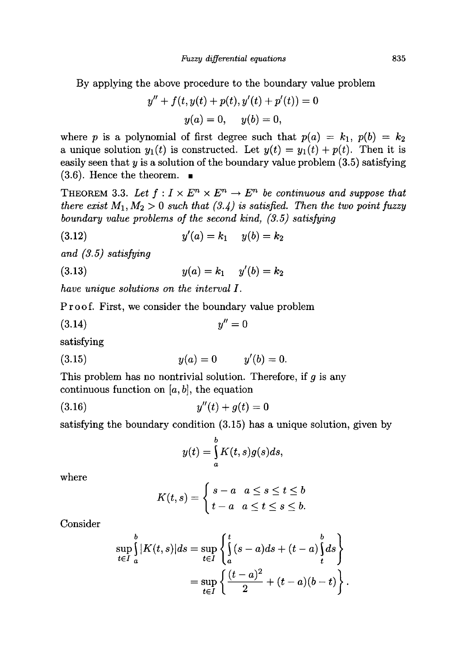By applying the above procedure to the boundary value problem

$$
y'' + f(t, y(t) + p(t), y'(t) + p'(t)) = 0
$$
  

$$
y(a) = 0, \quad y(b) = 0,
$$

where *p* is a polynomial of first degree such that  $p(a) = k_1$ ,  $p(b) = k_2$ a unique solution  $y_1(t)$  is constructed. Let  $y(t) = y_1(t) + p(t)$ . Then it is easily seen that *y* is a solution of the boundary value problem (3.5) satisfying  $(3.6)$ . Hence the theorem.  $\blacksquare$ 

THEOREM 3.3. Let  $f: I \times E^n \times E^n \to E^n$  be continuous and suppose that *there exist*  $M_1, M_2 > 0$  *such that* (3.4) is satisfied. Then the two point fuzzy *boundary value problems of the second kind, (3.5) satisfying* 

(3.12) 
$$
y'(a) = k_1 \t y(b) = k_2
$$

*and (3.5) satisfying* 

$$
(3.13) \t\t y(a) = k_1 \t y'(b) = k_2
$$

*have unique solutions on the interval I.* 

Proof. First, we consider the boundary value problem

$$
(3.14) \t\t y'' = 0
$$

satisfying

(3.15) 
$$
y(a) = 0 \qquad y'(b) = 0.
$$

This problem has no nontrivial solution. Therefore, if *g* is any continuous function on  $[a, b]$ , the equation

$$
(3.16) \t\t y''(t) + g(t) = 0
$$

satisfying the boundary condition (3.15) has a unique solution, given by

$$
y(t) = \int_{a}^{b} K(t,s)g(s)ds,
$$

where

$$
K(t,s) = \begin{cases} s-a & a \leq s \leq t \leq b \\ t-a & a \leq t \leq s \leq b. \end{cases}
$$

Consider

$$
\sup_{t \in I} \int_{a}^{b} |K(t,s)| ds = \sup_{t \in I} \left\{ \int_{a}^{t} (s-a) ds + (t-a) \int_{t}^{b} ds \right\}
$$

$$
= \sup_{t \in I} \left\{ \frac{(t-a)^2}{2} + (t-a)(b-t) \right\}.
$$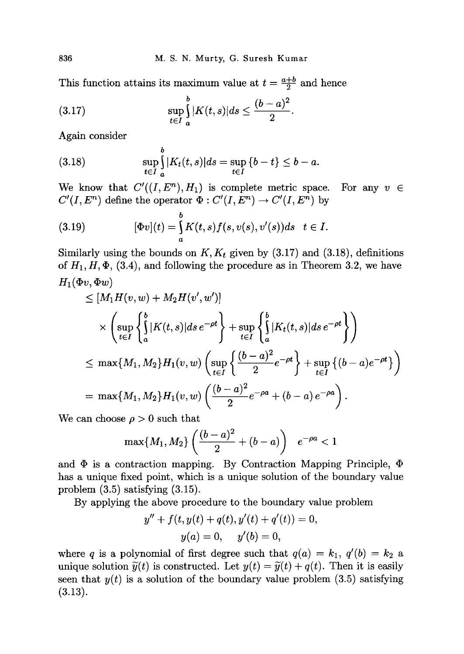This function attains its maximum value at  $t = \frac{a+b}{2}$  and hence

$$
\sup_{t \in I} \int_{a}^{b} |K(t,s)| ds \leq \frac{(b-a)^2}{2}
$$

Again consider

(3.18) 
$$
\sup_{t \in I} \int_{a}^{b} |K_t(t,s)| ds = \sup_{t \in I} \{b - t\} \leq b - a.
$$

We know that  $C'((I, E^n), H_1)$  is complete metric space. For any  $v \in$  $C'(I, E^n)$  define the operator  $\Phi: C'(I, E^n) \to C'(I, E^n)$  by

(3.19) 
$$
[\Phi v](t) = \int_{a}^{b} K(t,s) f(s,v(s),v'(s)) ds \quad t \in I.
$$

Similarly using the bounds on  $K, K_t$  given by  $(3.17)$  and  $(3.18)$ , definitions of  $H_1, H, \Phi$ , (3.4), and following the procedure as in Theorem 3.2, we have  $H_1(\Phi v, \Phi w)$ 

$$
\leq [M_1 H(v, w) + M_2 H(v', w')] \times \left( \sup_{t \in I} \left\{ \int_a^b |K(t, s)| ds e^{-\rho t} \right\} + \sup_{t \in I} \left\{ \int_a^b |K_t(t, s)| ds e^{-\rho t} \right\} \right) \leq \max\{M_1, M_2\} H_1(v, w) \left( \sup_{t \in I} \left\{ \frac{(b - a)^2}{2} e^{-\rho t} \right\} + \sup_{t \in I} \left\{ (b - a) e^{-\rho t} \right\} \right) = \max\{M_1, M_2\} H_1(v, w) \left( \frac{(b - a)^2}{2} e^{-\rho a} + (b - a) e^{-\rho a} \right).
$$

We can choose  $\rho > 0$  such that

$$
\max\{M_1, M_2\} \left( \frac{(b-a)^2}{2} + (b-a) \right) \quad e^{-\rho a} < 1
$$

and  $\Phi$  is a contraction mapping. By Contraction Mapping Principle,  $\Phi$ has a unique fixed point, which is a unique solution of the boundary value problem (3.5) satisfying (3.15).

By applying the above procedure to the boundary value problem

$$
y'' + f(t, y(t) + q(t), y'(t) + q'(t)) = 0,
$$
  

$$
y(a) = 0, \quad y'(b) = 0,
$$

where *q* is a polynomial of first degree such that  $q(a) = k_1$ ,  $q'(b) = k_2$  a unique solution  $\tilde{y}(t)$  is constructed. Let  $y(t) = \tilde{y}(t) + q(t)$ . Then it is easily seen that  $y(t)$  is a solution of the boundary value problem  $(3.5)$  satisfying  $(3.13).$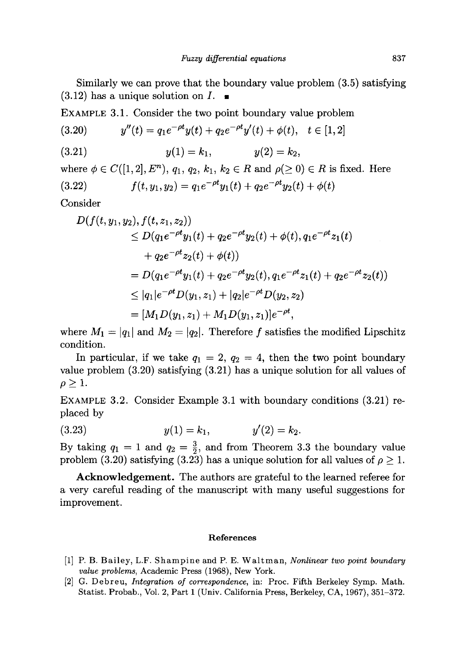Similarly we can prove that the boundary value problem (3.5) satisfying  $(3.12)$  has a unique solution on  $I$ .

EXAMPLE 3.1. Consider the two point boundary value problem

$$
(3.20) \t y''(t) = q_1 e^{-\rho t} y(t) + q_2 e^{-\rho t} y'(t) + \phi(t), \quad t \in [1, 2]
$$

(3.21) 
$$
y(1) = k_1
$$
,  $y(2) = k_2$ ,

where  $\phi \in C([1, 2], E^n)$ ,  $q_1, q_2, k_1, k_2 \in R$  and  $\rho(\geq 0) \in R$  is fixed. Here

$$
(3.22) \t f(t, y_1, y_2) = q_1 e^{-\rho t} y_1(t) + q_2 e^{-\rho t} y_2(t) + \phi(t)
$$

Consider

$$
D(f(t, y_1, y_2), f(t, z_1, z_2))
$$
  
\n
$$
\leq D(q_1 e^{-\rho t} y_1(t) + q_2 e^{-\rho t} y_2(t) + \phi(t), q_1 e^{-\rho t} z_1(t)
$$
  
\n
$$
+ q_2 e^{-\rho t} z_2(t) + \phi(t))
$$
  
\n
$$
= D(q_1 e^{-\rho t} y_1(t) + q_2 e^{-\rho t} y_2(t), q_1 e^{-\rho t} z_1(t) + q_2 e^{-\rho t} z_2(t))
$$
  
\n
$$
\leq |q_1| e^{-\rho t} D(y_1, z_1) + |q_2| e^{-\rho t} D(y_2, z_2)
$$
  
\n
$$
= [M_1 D(y_1, z_1) + M_1 D(y_1, z_1)] e^{-\rho t},
$$

where  $M_1 = |q_1|$  and  $M_2 = |q_2|$ . Therefore f satisfies the modified Lipschitz condition.

In particular, if we take  $q_1 = 2$ ,  $q_2 = 4$ , then the two point boundary value problem (3.20) satisfying (3.21) has a unique solution for all values of  $\rho \geq 1$ .

EXAMPLE 3.2. Consider Example 3.1 with boundary conditions (3.21) replaced by

$$
(3.23) \t\t y(1) = k_1, \t\t y'(2) = k_2.
$$

By taking  $q_1 = 1$  and  $q_2 = \frac{3}{2}$ , and from Theorem 3.3 the boundary value problem (3.20) satisfying (3.23) has a unique solution for all values of  $\rho \geq 1$ .

**Acknowledgement.** The authors are grateful to the learned referee for a very careful reading of the manuscript with many useful suggestions for improvement.

#### **References**

- [1] P. B. Bailey, L.F. Shampine and P. E. Waltman, *Nonlinear two point boundary value problems,* Academic Press (1968), New York.
- [2] G. Debreu, *Integration of correspondence,* in: Proc. Fifth Berkeley Symp. Math. Statist. Probab., Vol. 2, Part 1 (Univ. California Press, Berkeley, CA, 1967), 351-372.